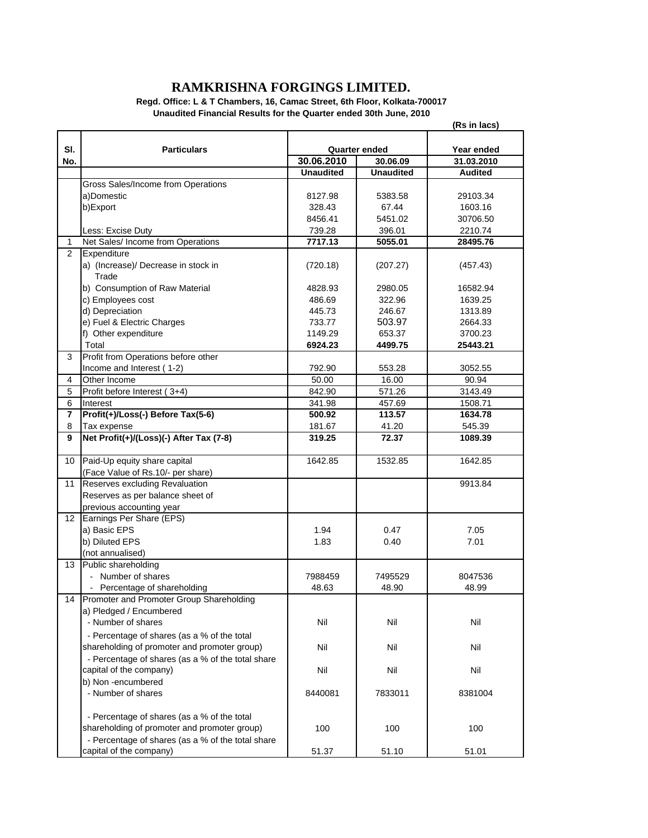## **RAMKRISHNA FORGINGS LIMITED.**

**Regd. Office: L & T Chambers, 16, Camac Street, 6th Floor, Kolkata-700017 Unaudited Financial Results for the Quarter ended 30th June, 2010**

|                 |                                                   |                  |                  | (Rs in lacs)   |
|-----------------|---------------------------------------------------|------------------|------------------|----------------|
|                 |                                                   |                  |                  |                |
| SI.             | <b>Particulars</b>                                |                  | Quarter ended    | Year ended     |
| No.             |                                                   | 30.06.2010       | 30.06.09         | 31.03.2010     |
|                 |                                                   | <b>Unaudited</b> | <b>Unaudited</b> | <b>Audited</b> |
|                 | Gross Sales/Income from Operations                |                  |                  |                |
|                 | a)Domestic                                        | 8127.98          | 5383.58          | 29103.34       |
|                 | b)Export                                          | 328.43           | 67.44            | 1603.16        |
|                 |                                                   | 8456.41          | 5451.02          | 30706.50       |
|                 | Less: Excise Duty                                 | 739.28           | 396.01           | 2210.74        |
| 1               | Net Sales/ Income from Operations                 | 7717.13          | 5055.01          | 28495.76       |
| 2               | Expenditure                                       |                  |                  |                |
|                 | a) (Increase)/ Decrease in stock in               | (720.18)         | (207.27)         | (457.43)       |
|                 | Trade                                             |                  |                  |                |
|                 | b) Consumption of Raw Material                    | 4828.93          | 2980.05          | 16582.94       |
|                 | c) Employees cost                                 | 486.69           | 322.96           | 1639.25        |
|                 | d) Depreciation                                   | 445.73           | 246.67           | 1313.89        |
|                 | e) Fuel & Electric Charges                        | 733.77           | 503.97           | 2664.33        |
|                 | f) Other expenditure                              | 1149.29          | 653.37           | 3700.23        |
|                 | Total                                             | 6924.23          | 4499.75          | 25443.21       |
| 3               | Profit from Operations before other               |                  |                  |                |
|                 | Income and Interest (1-2)                         | 792.90           | 553.28           | 3052.55        |
| 4               | Other Income                                      | 50.00            | 16.00            | 90.94          |
| 5               | Profit before Interest (3+4)                      | 842.90           | 571.26           | 3143.49        |
| 6               | Interest                                          | 341.98           | 457.69           | 1508.71        |
| $\overline{7}$  | Profit(+)/Loss(-) Before Tax(5-6)                 | 500.92           | 113.57           | 1634.78        |
| 8               | Tax expense                                       | 181.67           | 41.20            | 545.39         |
| 9               | Net Profit(+)/(Loss)(-) After Tax (7-8)           | 319.25           | 72.37            | 1089.39        |
|                 |                                                   |                  |                  |                |
| 10              | Paid-Up equity share capital                      | 1642.85          | 1532.85          | 1642.85        |
|                 | (Face Value of Rs.10/- per share)                 |                  |                  |                |
| 11              | Reserves excluding Revaluation                    |                  |                  | 9913.84        |
|                 | Reserves as per balance sheet of                  |                  |                  |                |
|                 | previous accounting year                          |                  |                  |                |
| 12 <sup>2</sup> | Earnings Per Share (EPS)                          |                  |                  |                |
|                 | a) Basic EPS                                      | 1.94             | 0.47             | 7.05           |
|                 | b) Diluted EPS                                    | 1.83             | 0.40             | 7.01           |
|                 | (not annualised)                                  |                  |                  |                |
| 13              | Public shareholding                               |                  |                  |                |
|                 | - Number of shares                                | 7988459          | 7495529          | 8047536        |
|                 | - Percentage of shareholding                      | 48.63            | 48.90            | 48.99          |
| 14              | Promoter and Promoter Group Shareholding          |                  |                  |                |
|                 | a) Pledged / Encumbered                           |                  |                  |                |
|                 | - Number of shares                                | Nil              | Nil              | Nil            |
|                 | - Percentage of shares (as a % of the total       |                  |                  |                |
|                 | shareholding of promoter and promoter group)      | Nil              | Nil              | Nil            |
|                 | - Percentage of shares (as a % of the total share |                  |                  |                |
|                 | capital of the company)                           | Nil              | Nil              | Nil            |
|                 | b) Non -encumbered                                |                  |                  |                |
|                 | - Number of shares                                | 8440081          | 7833011          | 8381004        |
|                 |                                                   |                  |                  |                |
|                 | - Percentage of shares (as a % of the total       |                  |                  |                |
|                 | shareholding of promoter and promoter group)      | 100              | 100              | 100            |
|                 | - Percentage of shares (as a % of the total share |                  |                  |                |
|                 | capital of the company)                           | 51.37            | 51.10            | 51.01          |